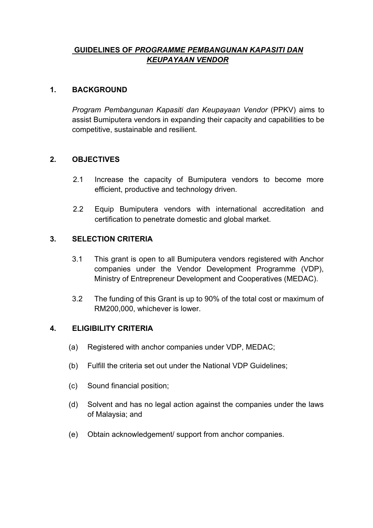# **GUIDELINES OF** *PROGRAMME PEMBANGUNAN KAPASITI DAN KEUPAYAAN VENDOR*

#### **1. BACKGROUND**

*Program Pembangunan Kapasiti dan Keupayaan Vendor* (PPKV) aims to assist Bumiputera vendors in expanding their capacity and capabilities to be competitive, sustainable and resilient.

#### **2. OBJECTIVES**

- 2.1 Increase the capacity of Bumiputera vendors to become more efficient, productive and technology driven.
- 2.2 Equip Bumiputera vendors with international accreditation and certification to penetrate domestic and global market.

## **3. SELECTION CRITERIA**

- 3.1 This grant is open to all Bumiputera vendors registered with Anchor companies under the Vendor Development Programme (VDP), Ministry of Entrepreneur Development and Cooperatives (MEDAC).
- 3.2 The funding of this Grant is up to 90% of the total cost or maximum of RM200,000, whichever is lower.

#### **4. ELIGIBILITY CRITERIA**

- (a) Registered with anchor companies under VDP, MEDAC;
- (b) Fulfill the criteria set out under the National VDP Guidelines;
- (c) Sound financial position;
- (d) Solvent and has no legal action against the companies under the laws of Malaysia; and
- (e) Obtain acknowledgement/ support from anchor companies.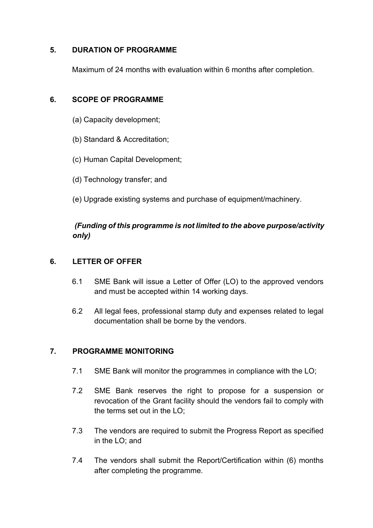## **5. DURATION OF PROGRAMME**

Maximum of 24 months with evaluation within 6 months after completion.

# **6. SCOPE OF PROGRAMME**

- (a) Capacity development;
- (b) Standard & Accreditation;
- (c) Human Capital Development;
- (d) Technology transfer; and
- (e) Upgrade existing systems and purchase of equipment/machinery.

# *(Funding of this programme is not limited to the above purpose/activity only)*

# **6. LETTER OF OFFER**

- 6.1 SME Bank will issue a Letter of Offer (LO) to the approved vendors and must be accepted within 14 working days.
- 6.2 All legal fees, professional stamp duty and expenses related to legal documentation shall be borne by the vendors.

# **7. PROGRAMME MONITORING**

- 7.1 SME Bank will monitor the programmes in compliance with the LO;
- 7.2 SME Bank reserves the right to propose for a suspension or revocation of the Grant facility should the vendors fail to comply with the terms set out in the LO;
- 7.3 The vendors are required to submit the Progress Report as specified in the LO; and
- 7.4 The vendors shall submit the Report/Certification within (6) months after completing the programme.